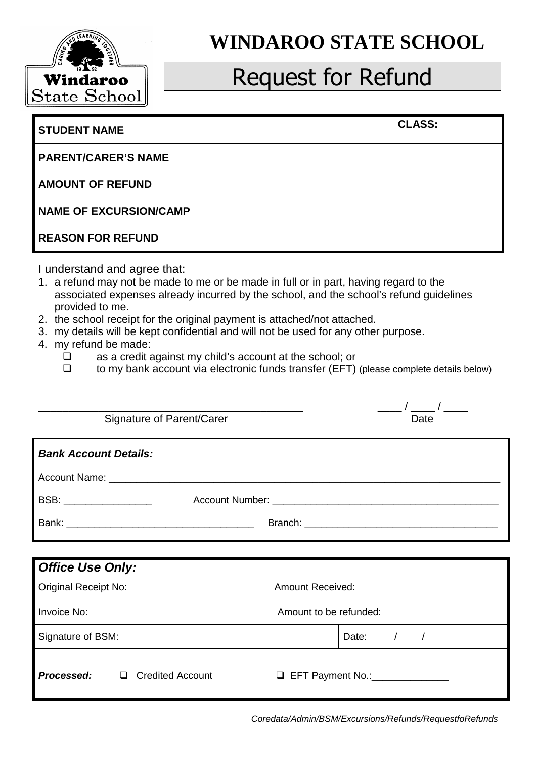

## **WINDAROO STATE SCHOOL**

## Request for Refund

| <b>STUDENT NAME</b>           | <b>CLASS:</b> |
|-------------------------------|---------------|
| <b>PARENT/CARER'S NAME</b>    |               |
| <b>AMOUNT OF REFUND</b>       |               |
| <b>NAME OF EXCURSION/CAMP</b> |               |
| <b>REASON FOR REFUND</b>      |               |

I understand and agree that:

- 1. a refund may not be made to me or be made in full or in part, having regard to the associated expenses already incurred by the school, and the school's refund guidelines provided to me.
- 2. the school receipt for the original payment is attached/not attached.
- 3. my details will be kept confidential and will not be used for any other purpose.
- 4. my refund be made:
	- as a credit against my child's account at the school; or
	- $\Box$  to my bank account via electronic funds transfer (EFT) (please complete details below)

| Signature of Parent/Carer    | Date                    |
|------------------------------|-------------------------|
| <b>Bank Account Details:</b> |                         |
|                              |                         |
| BSB: __________________      |                         |
|                              |                         |
|                              |                         |
| <b>Office Use Only:</b>      |                         |
| <b>Original Receipt No:</b>  | <b>Amount Received:</b> |
| Invoice No:                  | Amount to be refunded:  |

Signature of BSM:  $|$ Date:  $|$  /  $|$ 

**Processed:**  $\Box$  Credited Account  $\Box$  EFT Payment No.:

Coredata/Admin/BSM/Excursions/Refunds/RequestfoRefunds